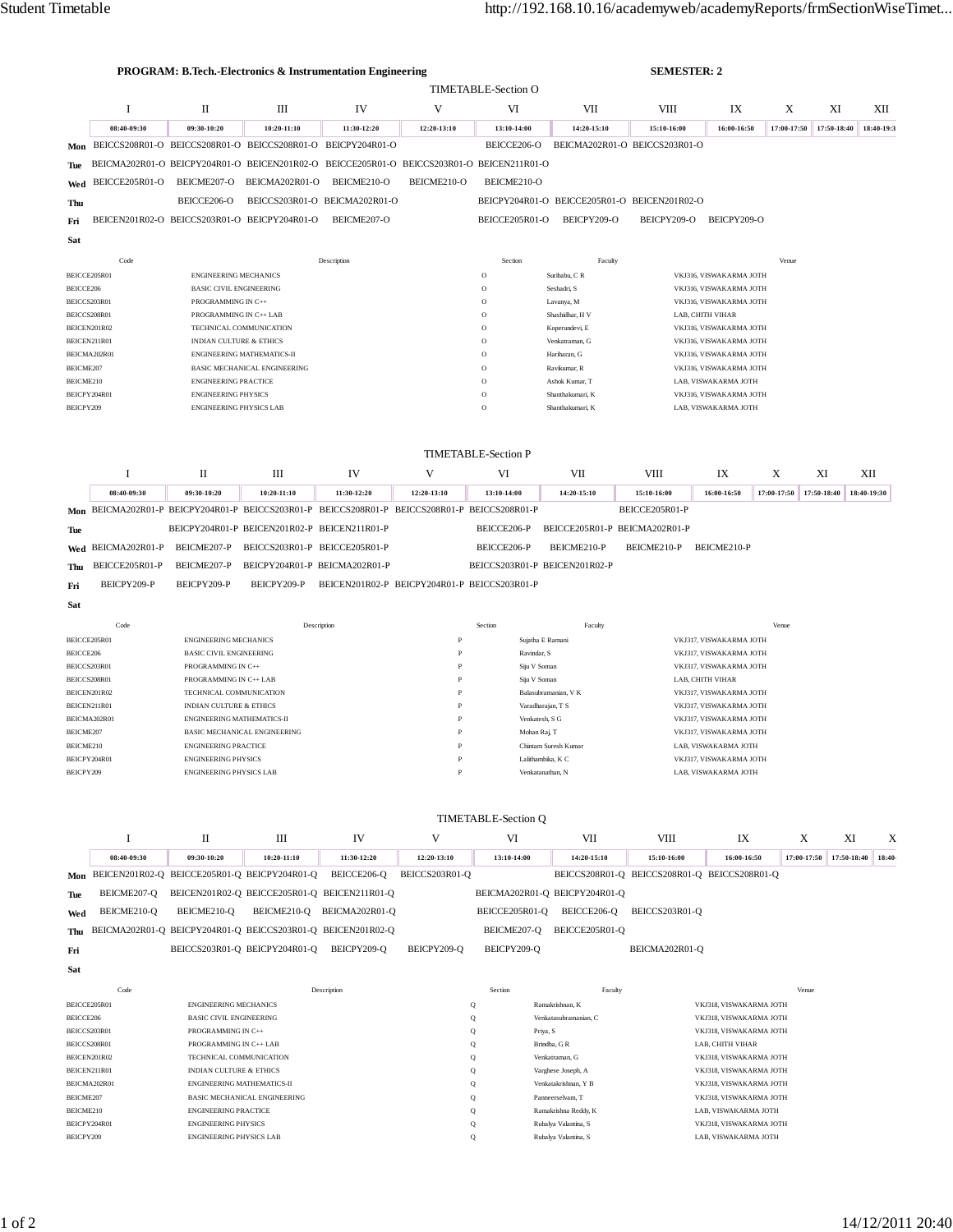|                                                                                             |                                                                                                       |                                                               | <b>PROGRAM: B.Tech.-Electronics &amp; Instrumentation Engineering</b>                         |                                              | <b>TIMETABLE-Section O</b>                                                                               | <b>SEMESTER: 2</b>                             |                                              |                                                    |                                                    |             |             |             |  |
|---------------------------------------------------------------------------------------------|-------------------------------------------------------------------------------------------------------|---------------------------------------------------------------|-----------------------------------------------------------------------------------------------|----------------------------------------------|----------------------------------------------------------------------------------------------------------|------------------------------------------------|----------------------------------------------|----------------------------------------------------|----------------------------------------------------|-------------|-------------|-------------|--|
|                                                                                             | 1                                                                                                     | П                                                             | Ш                                                                                             | IV                                           | V                                                                                                        | VI                                             | VII                                          | VIII                                               | IX                                                 | X           | XI          | XІІ         |  |
|                                                                                             | 08:40-09:30                                                                                           | 09:30-10:20                                                   | 10:20-11:10                                                                                   | 11:30-12:20                                  | 12:20-13:10                                                                                              | 13:10-14:00                                    | 14:20-15:10                                  | 15:10-16:00                                        | 16:00-16:50                                        | 17:00-17:50 | 17:50-18:40 | 18:40-19:3  |  |
| Mon                                                                                         |                                                                                                       |                                                               | BEICCS208R01-O BEICCS208R01-O BEICCS208R01-O BEICPY204R01-O                                   |                                              |                                                                                                          | BEICCE206-O                                    |                                              | BEICMA202R01-O BEICCS203R01-O                      |                                                    |             |             |             |  |
| Tue                                                                                         |                                                                                                       |                                                               | BEICMA202R01-O BEICPY204R01-O BEICEN201R02-O BEICCE205R01-O BEICCS203R01-O BEICEN211R01-O     |                                              |                                                                                                          |                                                |                                              |                                                    |                                                    |             |             |             |  |
| Wed                                                                                         | BEICCE205R01-O                                                                                        | BEICME207-O                                                   | BEICMA202R01-O                                                                                | BEICME210-O                                  | BEICME210-O                                                                                              | BEICME210-O                                    |                                              |                                                    |                                                    |             |             |             |  |
| Thu                                                                                         |                                                                                                       | BEICCE206-O                                                   |                                                                                               | BEICCS203R01-O BEICMA202R01-O                |                                                                                                          |                                                | BEICPY204R01-O BEICCE205R01-O BEICEN201R02-O |                                                    |                                                    |             |             |             |  |
|                                                                                             |                                                                                                       |                                                               | BEICEN201R02-O BEICCS203R01-O BEICPY204R01-O                                                  | BEICME207-O                                  |                                                                                                          | BEICCE205R01-O                                 | BEICPY209-O                                  | BEICPY209-O                                        | BEICPY209-O                                        |             |             |             |  |
| Fri                                                                                         |                                                                                                       |                                                               |                                                                                               |                                              |                                                                                                          |                                                |                                              |                                                    |                                                    |             |             |             |  |
| Sat                                                                                         |                                                                                                       |                                                               |                                                                                               |                                              |                                                                                                          |                                                |                                              |                                                    |                                                    |             |             |             |  |
| Code                                                                                        |                                                                                                       |                                                               | Description                                                                                   |                                              | Section                                                                                                  | Faculty                                        |                                              |                                                    | Venue                                              |             |             |             |  |
| BEICCE205R01<br><b>ENGINEERING MECHANICS</b><br>BEICCE206<br><b>BASIC CIVIL ENGINEERING</b> |                                                                                                       |                                                               |                                                                                               |                                              | $\circ$<br>$\circ$                                                                                       | Suribabu, CR<br>Seshadri, S                    |                                              | VKJ316, VISWAKARMA JOTH<br>VKJ316, VISWAKARMA JOTH |                                                    |             |             |             |  |
| BEICCS203R01<br>PROGRAMMING IN C++                                                          |                                                                                                       |                                                               |                                                                                               |                                              | $\circ$                                                                                                  | Lavanya, M                                     |                                              | VKJ316, VISWAKARMA JOTH                            |                                                    |             |             |             |  |
| BEICCS208R01<br>PROGRAMMING IN C++ LAB                                                      |                                                                                                       |                                                               |                                                                                               |                                              | $\circ$                                                                                                  | Shashidhar, H V                                | LAB, CHITH VIHAR                             |                                                    |                                                    |             |             |             |  |
|                                                                                             | BEICEN201R02<br>TECHNICAL COMMUNICATION                                                               |                                                               |                                                                                               |                                              |                                                                                                          | $\circ$                                        | Koperundevi, E                               | VKJ316, VISWAKARMA JOTH                            |                                                    |             |             |             |  |
|                                                                                             | BEICEN211R01                                                                                          | INDIAN CULTURE & ETHICS                                       |                                                                                               |                                              |                                                                                                          | $\circ$<br>$\circ$                             | Venkatraman, G<br>Haribaran, G               |                                                    | VKJ316, VISWAKARMA JOTH<br>VKJ316, VISWAKARMA JOTH |             |             |             |  |
|                                                                                             | BEICMA202R01<br><b>ENGINEERING MATHEMATICS-II</b><br>BEICME207<br><b>BASIC MECHANICAL ENGINEERING</b> |                                                               |                                                                                               |                                              |                                                                                                          | $\circ$                                        | Ravikumar, R                                 |                                                    | VKJ316, VISWAKARMA JOTH                            |             |             |             |  |
| BEICME210                                                                                   |                                                                                                       | <b>ENGINEERING PRACTICE</b>                                   |                                                                                               |                                              |                                                                                                          | $\circ$                                        | Ashok Kumar, T                               |                                                    | LAB, VISWAKARMA JOTH                               |             |             |             |  |
|                                                                                             | BEICPY204R01                                                                                          | <b>ENGINEERING PHYSICS</b>                                    |                                                                                               |                                              |                                                                                                          | $\circ$                                        | Shanthakumari, K                             |                                                    | VKJ316, VISWAKARMA JOTH                            |             |             |             |  |
| BEICPY209                                                                                   |                                                                                                       | <b>ENGINEERING PHYSICS LAB</b>                                |                                                                                               |                                              |                                                                                                          | $\circ$                                        | Shanthakumari, K                             |                                                    | LAB. VISWAKARMA JOTH                               |             |             |             |  |
|                                                                                             | <b>TIMETABLE-Section P</b>                                                                            |                                                               |                                                                                               |                                              |                                                                                                          |                                                |                                              |                                                    |                                                    |             |             |             |  |
|                                                                                             |                                                                                                       |                                                               |                                                                                               |                                              |                                                                                                          |                                                |                                              |                                                    |                                                    |             |             |             |  |
|                                                                                             | 1                                                                                                     | П                                                             | Ш                                                                                             | IV                                           | V                                                                                                        | VI                                             | VII                                          | <b>VIII</b>                                        | IX                                                 | X           | XI          | XІІ         |  |
|                                                                                             | 08:40-09:30                                                                                           | 09:30-10:20                                                   | 10:20-11:10                                                                                   | 11:30-12:20                                  | 12:20-13:10                                                                                              | 13:10-14:00                                    | 14:20-15:10                                  | 15:10-16:00                                        | 16:00-16:50                                        | 17:00-17:50 | 17:50-18:40 | 18:40-19:30 |  |
|                                                                                             |                                                                                                       |                                                               | Mon BEICMA202R01-P BEICPY204R01-P BEICCS203R01-P BEICCS208R01-P BEICCS208R01-P BEICCS208R01-P |                                              |                                                                                                          |                                                |                                              | BEICCE205R01-P                                     |                                                    |             |             |             |  |
| Tue                                                                                         |                                                                                                       |                                                               | BEICPY204R01-P BEICEN201R02-P BEICEN211R01-P                                                  |                                              |                                                                                                          | BEICCE206-P                                    | BEICCE205R01-P BEICMA202R01-P                |                                                    |                                                    |             |             |             |  |
| Wed                                                                                         | BEICMA202R01-P                                                                                        | BEICME207-P                                                   | BEICCS203R01-P BEICCE205R01-P                                                                 |                                              |                                                                                                          | BEICCE206-P                                    | BEICME210-P                                  | BEICME210-P                                        | BEICME210-P                                        |             |             |             |  |
| Thu                                                                                         | BEICCE205R01-P                                                                                        | BEICME207-P                                                   | BEICPY204R01-P BEICMA202R01-P                                                                 |                                              |                                                                                                          | BEICCS203R01-P BEICEN201R02-P                  |                                              |                                                    |                                                    |             |             |             |  |
| Fri                                                                                         | BEICPY209-P                                                                                           | BEICPY209-P                                                   | BEICPY209-P                                                                                   | BEICEN201R02-P BEICPY204R01-P BEICCS203R01-P |                                                                                                          |                                                |                                              |                                                    |                                                    |             |             |             |  |
| Sat                                                                                         |                                                                                                       |                                                               |                                                                                               |                                              |                                                                                                          |                                                |                                              |                                                    |                                                    |             |             |             |  |
|                                                                                             | Code                                                                                                  |                                                               |                                                                                               |                                              |                                                                                                          | Section                                        | Faculty                                      |                                                    |                                                    | Venue       |             |             |  |
|                                                                                             | Description<br>BEICCE205R01<br><b>ENGINEERING MECHANICS</b>                                           |                                                               |                                                                                               | $\overline{P}$                               |                                                                                                          | Sujatha E Ramani                               |                                              | VKJ317, VISWAKARMA JOTH                            |                                                    |             |             |             |  |
| BEICCE206                                                                                   |                                                                                                       | <b>BASIC CIVIL ENGINEERING</b>                                |                                                                                               |                                              | $\mathbf{P}$                                                                                             | Ravindar, S                                    |                                              | VKJ317, VISWAKARMA JOTH                            |                                                    |             |             |             |  |
|                                                                                             | BEICCS203R01                                                                                          | PROGRAMMING IN C++                                            |                                                                                               |                                              | $\overline{P}$                                                                                           | Siju V Soman                                   |                                              | VKJ317, VISWAKARMA JOTH                            |                                                    |             |             |             |  |
| BEICCS208R01                                                                                |                                                                                                       | PROGRAMMING IN C++ LAB                                        |                                                                                               |                                              | P<br>P                                                                                                   | Siju V Soman                                   | LAB, CHITH VIHAR                             |                                                    |                                                    |             |             |             |  |
|                                                                                             | BEICEN201R02<br>BEICEN211R01                                                                          |                                                               | TECHNICAL COMMUNICATION<br><b>INDIAN CULTURE &amp; ETHICS</b>                                 |                                              |                                                                                                          | Balasubramanian, V K<br>Varadharajan, T S<br>P |                                              |                                                    | VKJ317, VISWAKARMA JOTH<br>VKJ317, VISWAKARMA JOTH |             |             |             |  |
| BEICMA202R01                                                                                |                                                                                                       | ENGINEERING MATHEMATICS-II                                    |                                                                                               |                                              | P                                                                                                        | Venkatesh, S G                                 |                                              |                                                    | VKJ317, VISWAKARMA JOTH                            |             |             |             |  |
| BEICME207                                                                                   |                                                                                                       |                                                               | BASIC MECHANICAL ENGINEERING                                                                  |                                              | $\, {\bf P}$                                                                                             | Mohan Raj, T                                   |                                              |                                                    | VKJ317, VISWAKARMA JOTH                            |             |             |             |  |
|                                                                                             | BEICME210<br><b>ENGINEERING PRACTICE</b>                                                              |                                                               |                                                                                               | $\, {\bf p}$                                 |                                                                                                          | Chintam Suresh Kumar                           | <b>LAR VISWAKARMA JOTH</b>                   |                                                    |                                                    |             |             |             |  |
| BEICPY209                                                                                   | BEICPY204R01                                                                                          | <b>ENGINEERING PHYSICS</b><br><b>ENGINEERING PHYSICS LAB</b>  |                                                                                               |                                              | VKJ317, VISWAKARMA JOTH<br>Lalithambika, K C<br>$\, {\bf P}$<br>LAB, VISWAKARMA JOTH<br>Venkatanathan, N |                                                |                                              |                                                    |                                                    |             |             |             |  |
|                                                                                             |                                                                                                       |                                                               |                                                                                               |                                              |                                                                                                          |                                                |                                              |                                                    |                                                    |             |             |             |  |
|                                                                                             |                                                                                                       |                                                               |                                                                                               | <b>TIMETABLE-Section Q</b>                   |                                                                                                          |                                                |                                              |                                                    |                                                    |             |             |             |  |
|                                                                                             | 1                                                                                                     |                                                               | Ш                                                                                             | IV                                           | V                                                                                                        | VI                                             | VII                                          | VIII                                               | IX                                                 | X           | XI          | X           |  |
|                                                                                             |                                                                                                       | П                                                             |                                                                                               |                                              |                                                                                                          |                                                |                                              |                                                    |                                                    |             |             |             |  |
|                                                                                             | 08:40-09:30                                                                                           | 09:30-10:20                                                   | 10:20-11:10                                                                                   | 11:30-12:20                                  | 12:20-13:10                                                                                              | 13:10-14:00                                    | 14:20-15:10                                  | 15:10-16:00                                        | 16:00-16:50                                        | 17:00-17:50 | 17:50-18:40 | 18:40-      |  |
| Mon                                                                                         |                                                                                                       |                                                               | BEICEN201R02-Q BEICCE205R01-Q BEICPY204R01-Q                                                  | BEICCE206-Q                                  | BEICCS203R01-Q                                                                                           |                                                |                                              | BEICCS208R01-Q BEICCS208R01-Q BEICCS208R01-Q       |                                                    |             |             |             |  |
| Tue                                                                                         | BEICME207-Q                                                                                           |                                                               | BEICEN201R02-Q BEICCE205R01-Q BEICEN211R01-Q                                                  |                                              |                                                                                                          |                                                | BEICMA202R01-Q BEICPY204R01-Q                |                                                    |                                                    |             |             |             |  |
| Wed                                                                                         | BEICME210-Q                                                                                           | BEICME210-Q                                                   |                                                                                               | BEICME210-Q BEICMA202R01-Q                   |                                                                                                          | BEICCE205R01-Q                                 | BEICCE206-Q                                  | BEICCS203R01-Q                                     |                                                    |             |             |             |  |
| Thu                                                                                         |                                                                                                       |                                                               | BEICMA202R01-Q BEICPY204R01-Q BEICCS203R01-Q BEICEN201R02-Q                                   |                                              |                                                                                                          | BEICME207-Q                                    | BEICCE205R01-Q                               |                                                    |                                                    |             |             |             |  |
|                                                                                             |                                                                                                       |                                                               | BEICCS203R01-Q BEICPY204R01-Q                                                                 | BEICPY209-Q                                  | BEICPY209-Q                                                                                              | BEICPY209-Q                                    |                                              | BEICMA202R01-Q                                     |                                                    |             |             |             |  |
| Fri                                                                                         |                                                                                                       |                                                               |                                                                                               |                                              |                                                                                                          |                                                |                                              |                                                    |                                                    |             |             |             |  |
| Sat                                                                                         |                                                                                                       |                                                               |                                                                                               |                                              |                                                                                                          |                                                |                                              |                                                    |                                                    |             |             |             |  |
|                                                                                             | Code                                                                                                  |                                                               |                                                                                               | Description                                  |                                                                                                          | Section                                        | Faculty                                      |                                                    |                                                    | Venue       |             |             |  |
|                                                                                             | BEICCE205R01                                                                                          | <b>ENGINEERING MECHANICS</b>                                  |                                                                                               |                                              |                                                                                                          | $\bf Q$                                        | Ramakrishnan, K                              |                                                    | VKJ318, VISWAKARMA JOTH                            |             |             |             |  |
| BEICCE206                                                                                   | BEICCS203R01                                                                                          | <b>BASIC CIVIL ENGINEERING</b><br>PROGRAMMING IN C++          |                                                                                               |                                              |                                                                                                          | $\mathbf Q$<br>$\bf Q$                         | Venkatasubramanian, C<br>Priya, S            |                                                    | VKJ318, VISWAKARMA JOTH<br>VKJ318, VISWAKARMA JOTH |             |             |             |  |
|                                                                                             | BEICCS208R01                                                                                          | PROGRAMMING IN C++ LAB                                        |                                                                                               |                                              |                                                                                                          | Q                                              | Brindha, GR                                  |                                                    | LAB, CHITH VIHAR                                   |             |             |             |  |
|                                                                                             | BEICEN201R02<br>BEICEN211R01                                                                          | TECHNICAL COMMUNICATION<br><b>INDIAN CULTURE &amp; ETHICS</b> |                                                                                               |                                              |                                                                                                          | Q<br>Q                                         | Venkatraman, G<br>Varghese Joseph, A         |                                                    | VKJ318, VISWAKARMA JOTH<br>VKJ318, VISWAKARMA JOTH |             |             |             |  |

 $\begin{matrix} Q \\ Q \end{matrix}$ 

 $\mathbf Q$ 

 $\mathsf Q$ 

Panneerselvam, T

. ....<br>Ramakrishna Reddy, K

Rubalya Valantina, S

Rubalya Valantina, ${\cal S}$ 

BEICPY204R01

 $\rm BEICME207$ 

BEICME210

 $\operatorname{BEICPY209}$ 

ENGINEERING MATHEMATICS-II<br>BASIC MECHANICAL ENGINEERING<br>ENGINEERING PRACTICE<br>ENGINEERING PHYSICS<br>ENGINEERING BUYSICS LAB

ENGINEERING PHYSICS LAB

VKJ318, VISWAKARMA JOTH

 $\rm{LAB},\rm{VISWAKARMA}$  JOTH

 $\rm{LAB},\rm{VISWAKARMA}$  JOTH

VKJ318, VISWAKARMA JOTH